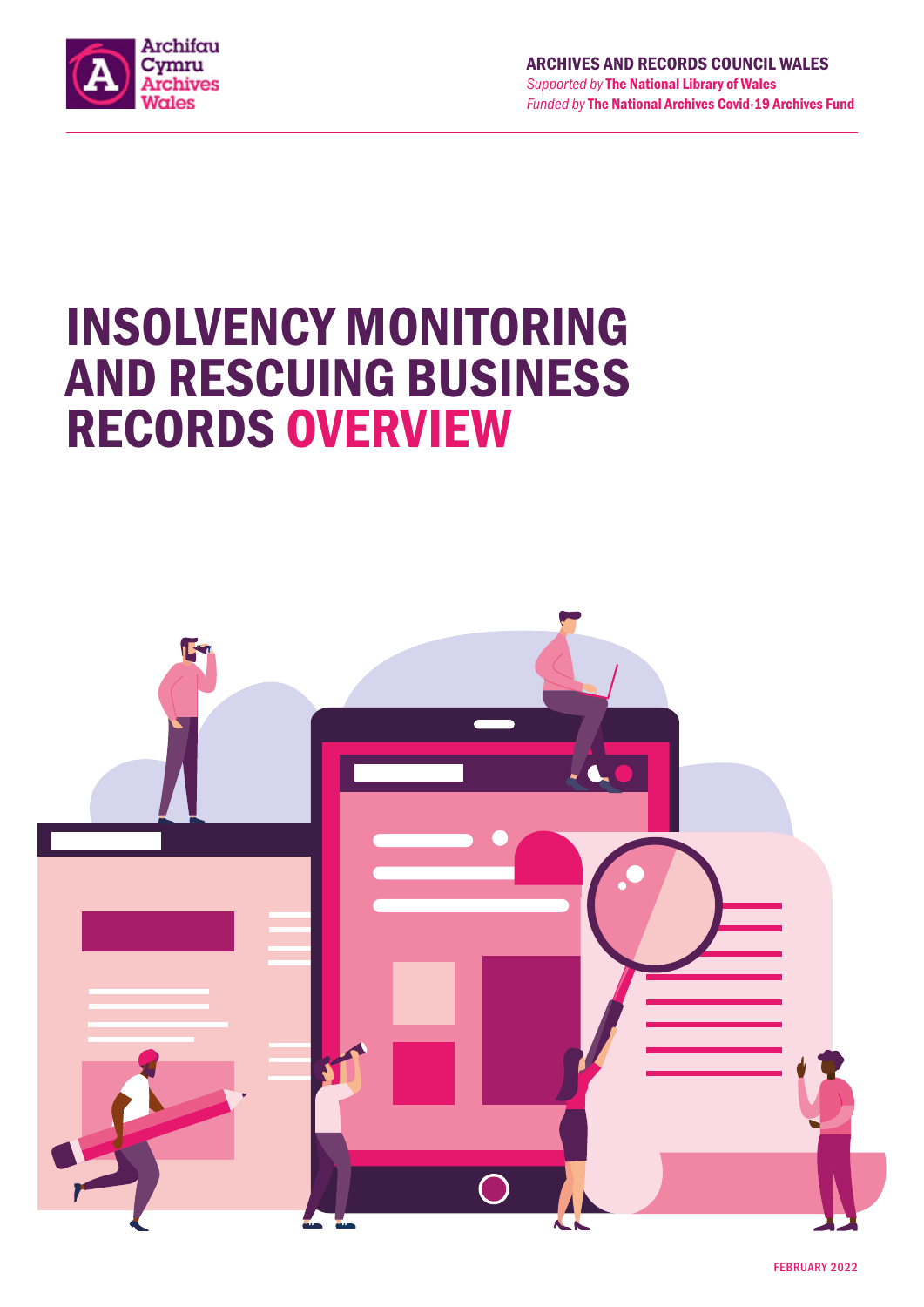

# INSOLVENCY MONITORING AND RESCUING BUSINESS RECORDS OVERVIEW

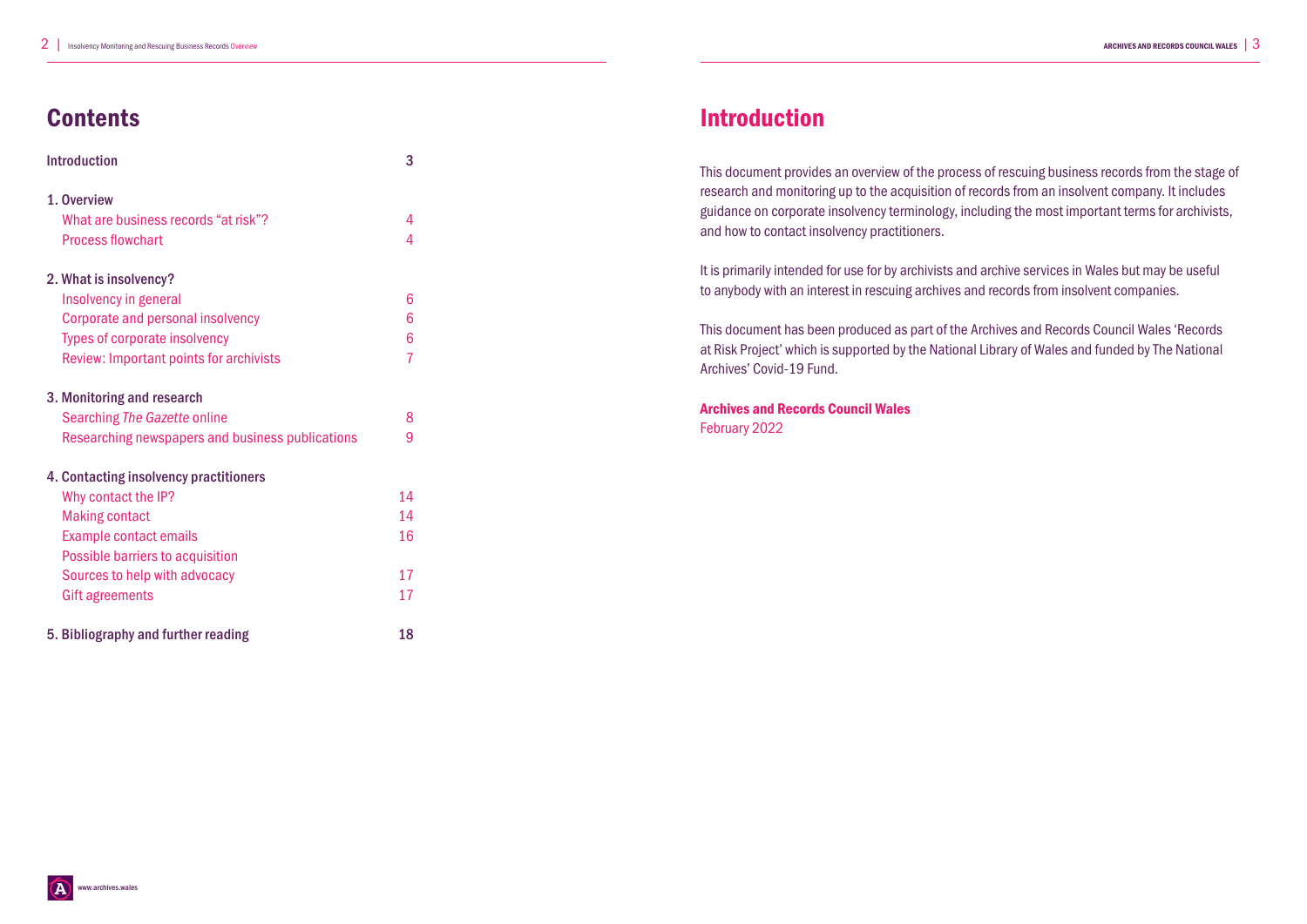# **Contents**

| <b>Introduction</b>                              | 3              |  |  |  |  |
|--------------------------------------------------|----------------|--|--|--|--|
| 1. Overview                                      |                |  |  |  |  |
| What are business records "at risk"?             | 4              |  |  |  |  |
| <b>Process flowchart</b>                         | $\overline{4}$ |  |  |  |  |
| 2. What is insolvency?                           |                |  |  |  |  |
| Insolvency in general                            | 6              |  |  |  |  |
| Corporate and personal insolvency                | 6              |  |  |  |  |
| <b>Types of corporate insolvency</b>             | 6              |  |  |  |  |
| <b>Review: Important points for archivists</b>   | $\overline{7}$ |  |  |  |  |
| 3. Monitoring and research                       |                |  |  |  |  |
| <b>Searching The Gazette online</b>              | 8              |  |  |  |  |
| Researching newspapers and business publications | 9              |  |  |  |  |
| 4. Contacting insolvency practitioners           |                |  |  |  |  |
| Why contact the IP?                              | 14             |  |  |  |  |
| <b>Making contact</b>                            | 14             |  |  |  |  |
| <b>Example contact emails</b>                    | 16             |  |  |  |  |
| Possible barriers to acquisition                 |                |  |  |  |  |
| Sources to help with advocacy                    | 17             |  |  |  |  |
| <b>Gift agreements</b>                           | 17             |  |  |  |  |
| 5. Bibliography and further reading              |                |  |  |  |  |

# Introduction

This document provides an overview of the process of rescuing business records from the stage of research and monitoring up to the acquisition of records from an insolvent company. It includes guidance on corporate insolvency terminology, including the most important terms for archivists, and how to contact insolvency practitioners.

It is primarily intended for use for by archivists and archive services in Wales but may be useful to anybody with an interest in rescuing archives and records from insolvent companies.

This document has been produced as part of the Archives and Records Council Wales 'Records at Risk Project' which is supported by the National Library of Wales and funded by The National Archives' Covid-19 Fund.

Archives and Records Council Wales February 2022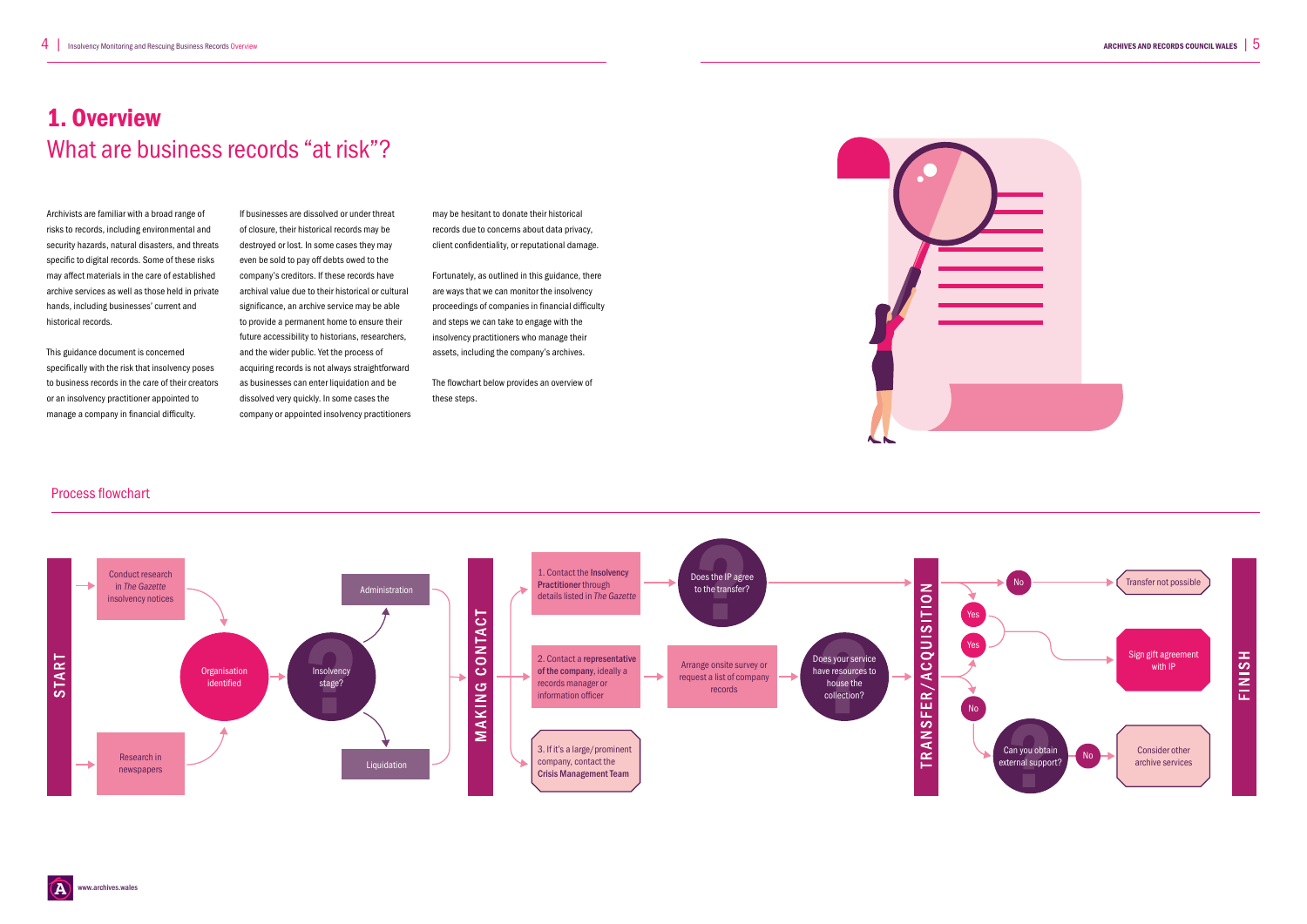www.archives.wales



Archivists are familiar with a broad range of risks to records, including environmental and security hazards, natural disasters, and threats specific to digital records. Some of these risks may affect materials in the care of established archive services as well as those held in private hands, including businesses' current and historical records.

# 1. Overview What are business records "at risk"?

This guidance document is concerned specifically with the risk that insolvency poses to business records in the care of their creators or an insolvency practitioner appointed to manage a company in financial difficulty.

If businesses are dissolved or under threat of closure, their historical records may be destroyed or lost. In some cases they may even be sold to pay off debts owed to the company's creditors. If these records have archival value due to their historical or cultural significance, an archive service may be able to provide a permanent home to ensure their future accessibility to historians, researchers, and the wider public. Yet the process of acquiring records is not always straightforward as businesses can enter liquidation and be dissolved very quickly. In some cases the company or appointed insolvency practitioners may be hesitant to donate their historical records due to concerns about data privacy, client confidentiality, or reputational damage.

Fortunately, as outlined in this guidance, there are ways that we can monitor the insolvency proceedings of companies in financial difficulty and steps we can take to engage with the insolvency practitioners who manage their assets, including the company's archives.

The flowchart below provides an overview of these steps.



### Process flowchart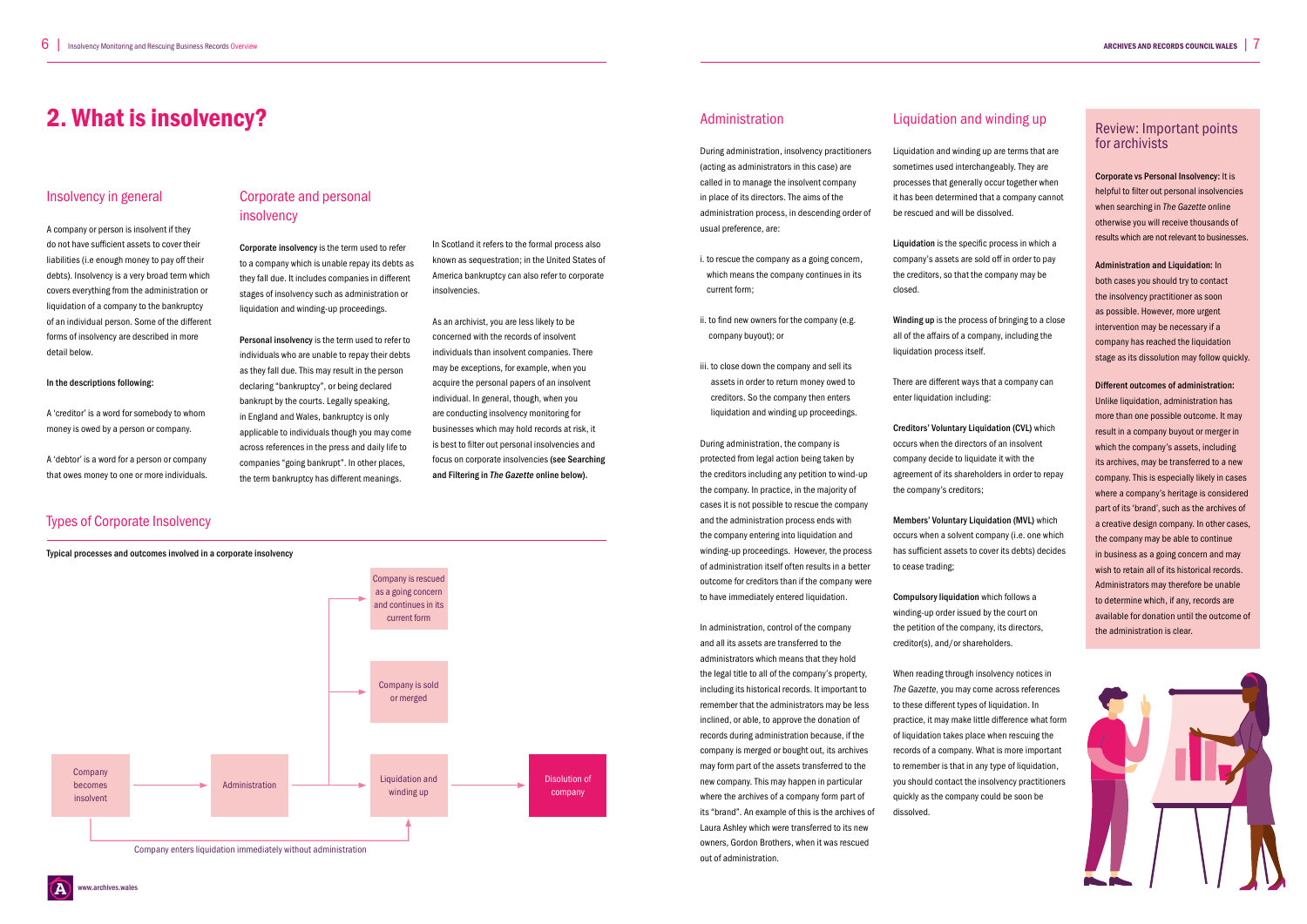### Insolvency in general

A company or person is insolvent if they do not have sufficient assets to cover their liabilities (i.e enough money to pay off their debts). Insolvency is a very broad term which covers everything from the administration or liquidation of a company to the bankruptcy of an individual person. Some of the different forms of insolvency are described in more detail below.

#### In the descriptions following:

A 'creditor' is a word for somebody to whom money is owed by a person or company.

A 'debtor' is a word for a person or company that owes money to one or more individuals.



Corporate insolvency is the term used to refer to a company which is unable repay its debts as they fall due. It includes companies in different stages of insolvency such as administration or liquidation and winding-up proceedings.

Personal insolvency is the term used to refer to individuals who are unable to repay their debts as they fall due. This may result in the person declaring "bankruptcy", or being declared bankrupt by the courts. Legally speaking, in England and Wales, bankruptcy is only applicable to individuals though you may come across references in the press and daily life to companies "going bankrupt". In other places, the term bankruptcy has different meanings.

In Scotland it refers to the formal process also known as sequestration; in the United States of America bankruptcy can also refer to corporate insolvencies.

As an archivist, you are less likely to be concerned with the records of insolvent individuals than insolvent companies. There may be exceptions, for example, when you acquire the personal papers of an insolvent individual. In general, though, when you are conducting insolvency monitoring for businesses which may hold records at risk, it is best to filter out personal insolvencies and focus on corporate insolvencies (see Searching and Filtering in *The Gazette* online below).

Administration

During administration, insolvency practitioners (acting as administrators in this case) are called in to manage the insolvent company in place of its directors. The aims of the administration process, in descending order of usual preference, are:

> Creditors' Voluntary Liquidation (CVL) which occurs when the directors of an insolvent company decide to liquidate it with the agreement of its shareholders in order to repay the company's creditors;

i. to rescue the company as a going concern, which means the company continues in its current form;

- ii. to find new owners for the company (e.g. company buyout); or
- iii. to close down the company and sell its assets in order to return money owed to creditors. So the company then enters liquidation and winding up proceedings.

During administration, the company is protected from legal action being taken by the creditors including any petition to wind-up the company. In practice, in the majority of cases it is not possible to rescue the company and the administration process ends with the company entering into liquidation and winding-up proceedings. However, the process of administration itself often results in a better outcome for creditors than if the company were to have immediately entered liquidation.

Administration and Liquidation: In both cases you should try to contact the insolvency practitioner as soon as possible. However, more urgent intervention may be necessary if a company has reached the liquidation stage as its dissolution may follow quickly.

In administration, control of the company and all its assets are transferred to the administrators which means that they hold the legal title to all of the company's property, including its historical records. It important to remember that the administrators may be less inclined, or able, to approve the donation of records during administration because, if the company is merged or bought out, its archives may form part of the assets transferred to the new company. This may happen in particular where the archives of a company form part of its "brand". An example of this is the archives of Laura Ashley which were transferred to its new owners, Gordon Brothers, when it was rescued out of administration.

### Liquidation and winding up

Liquidation and winding up are terms that are sometimes used interchangeably. They are processes that generally occur together when it has been determined that a company cannot be rescued and will be dissolved.

Liquidation is the specific process in which a company's assets are sold off in order to pay the creditors, so that the company may be closed.

Winding up is the process of bringing to a close all of the affairs of a company, including the liquidation process itself.

There are different ways that a company can enter liquidation including:

Members' Voluntary Liquidation (MVL) which occurs when a solvent company (i.e. one which has sufficient assets to cover its debts) decides to cease trading;

Compulsory liquidation which follows a winding-up order issued by the court on the petition of the company, its directors, creditor(s), and/or shareholders.

When reading through insolvency notices in *The Gazette*, you may come across references to these different types of liquidation. In practice, it may make little difference what form of liquidation takes place when rescuing the records of a company. What is more important to remember is that in any type of liquidation. you should contact the insolvency practitioners quickly as the company could be soon be dissolved.

### 2. What is insolvency?

### Types of Corporate Insolvency



### Review: Important points for archivists

Corporate vs Personal Insolvency: It is helpful to filter out personal insolvencies when searching in *The Gazette* online otherwise you will receive thousands of results which are not relevant to businesses.

Different outcomes of administration: Unlike liquidation, administration has more than one possible outcome. It may result in a company buyout or merger in which the company's assets, including its archives, may be transferred to a new company. This is especially likely in cases where a company's heritage is considered part of its 'brand', such as the archives of a creative design company. In other cases, the company may be able to continue in business as a going concern and may wish to retain all of its historical records. Administrators may therefore be unable to determine which, if any, records are available for donation until the outcome of the administration is clear.

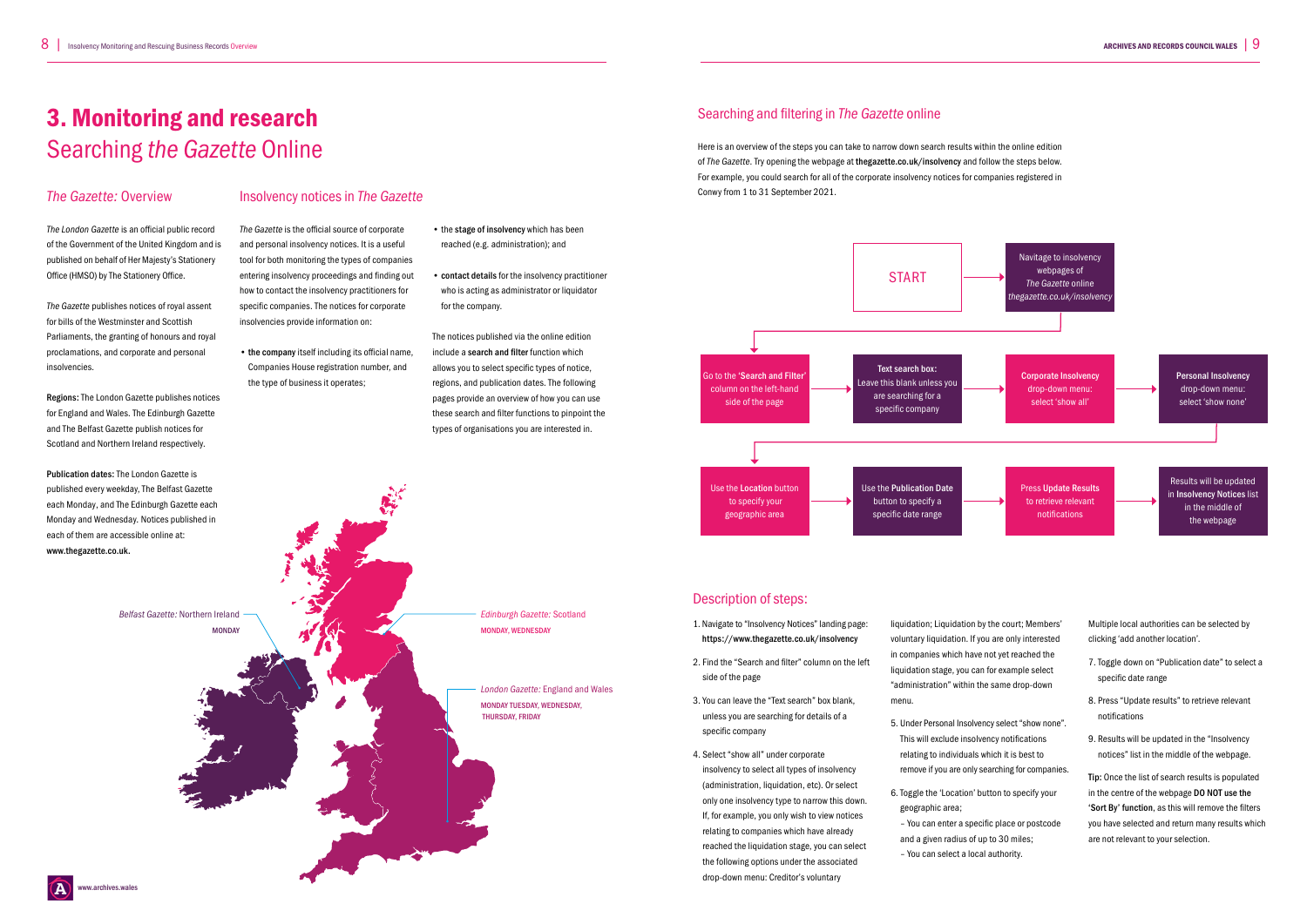### *The Gazette:* Overview

*The London Gazette* is an official public record of the Government of the United Kingdom and is published on behalf of Her Majesty's Stationery Office (HMSO) by The Stationery Office.

*The Gazette* publishes notices of royal assent for bills of the Westminster and Scottish Parliaments, the granting of honours and royal proclamations, and corporate and personal insolvencies.

Regions: The London Gazette publishes notices for England and Wales. The Edinburgh Gazette and The Belfast Gazette publish notices for Scotland and Northern Ireland respectively.

Publication dates: The London Gazette is published every weekday, The Belfast Gazette each Monday, and The Edinburgh Gazette each Monday and Wednesday. Notices published in each of them are accessible online at: www.thegazette.co.uk.

### Insolvency notices in *The Gazette*

*The Gazette* is the official source of corporate and personal insolvency notices. It is a useful tool for both monitoring the types of companies entering insolvency proceedings and finding out how to contact the insolvency practitioners for specific companies. The notices for corporate insolvencies provide information on:

• the company itself including its official name, Companies House registration number, and the type of business it operates;

• the stage of insolvency which has been reached (e.g. administration); and

• contact details for the insolvency practitioner who is acting as administrator or liquidator for the company.

The notices published via the online edition include a search and filter function which allows you to select specific types of notice, regions, and publication dates. The following pages provide an overview of how you can use these search and filter functions to pinpoint the types of organisations you are interested in.

### 3. Monitoring and research Searching *the Gazette* Online

### Searching and filtering in *The Gazette* online

### Description of steps:

- 1. Navigate to "Insolvency Notices" landing page: https://www.thegazette.co.uk/insolvency
- 2. Find the "Search and filter" column on the left side of the page
- 3. You can leave the "Text search" box blank, unless you are searching for details of a specific company
- 4. Select "show all" under corporate insolvency to select all types of insolvency (administration, liquidation, etc). Or select only one insolvency type to narrow this down. If, for example, you only wish to view notices relating to companies which have already reached the liquidation stage, you can select the following options under the associated drop-down menu: Creditor's voluntary

liquidation; Liquidation by the court; Members' voluntary liquidation. If you are only interested in companies which have not yet reached the liquidation stage, you can for example select "administration" within the same drop-down menu.

- 5. Under Personal Insolvency select "show none". This will exclude insolvency notifications relating to individuals which it is best to remove if you are only searching for companies.
- 6. Toggle the 'Location' button to specify your geographic area;
	- and a given radius of up to 30 miles; – You can select a local authority.

ww.archives.wales



– You can enter a specific place or postcode

Multiple local authorities can be selected by clicking 'add another location'.

- 7. Toggle down on "Publication date" to select a specific date range
- 8. Press "Update results" to retrieve relevant notifications
- 9. Results will be updated in the "Insolvency notices" list in the middle of the webpage.

Tip: Once the list of search results is populated in the centre of the webpage DO NOT use the 'Sort By' function, as this will remove the filters you have selected and return many results which are not relevant to your selection.

*Edinburgh Gazette:* Scotland MONDAY, WEDNESDAY

*Belfast Gazette:* Northern Ireland

**MONDAY** 

*London Gazette:* England and Wales MONDAY TUESDAY, WEDNESDAY, THURSDAY, FRIDAY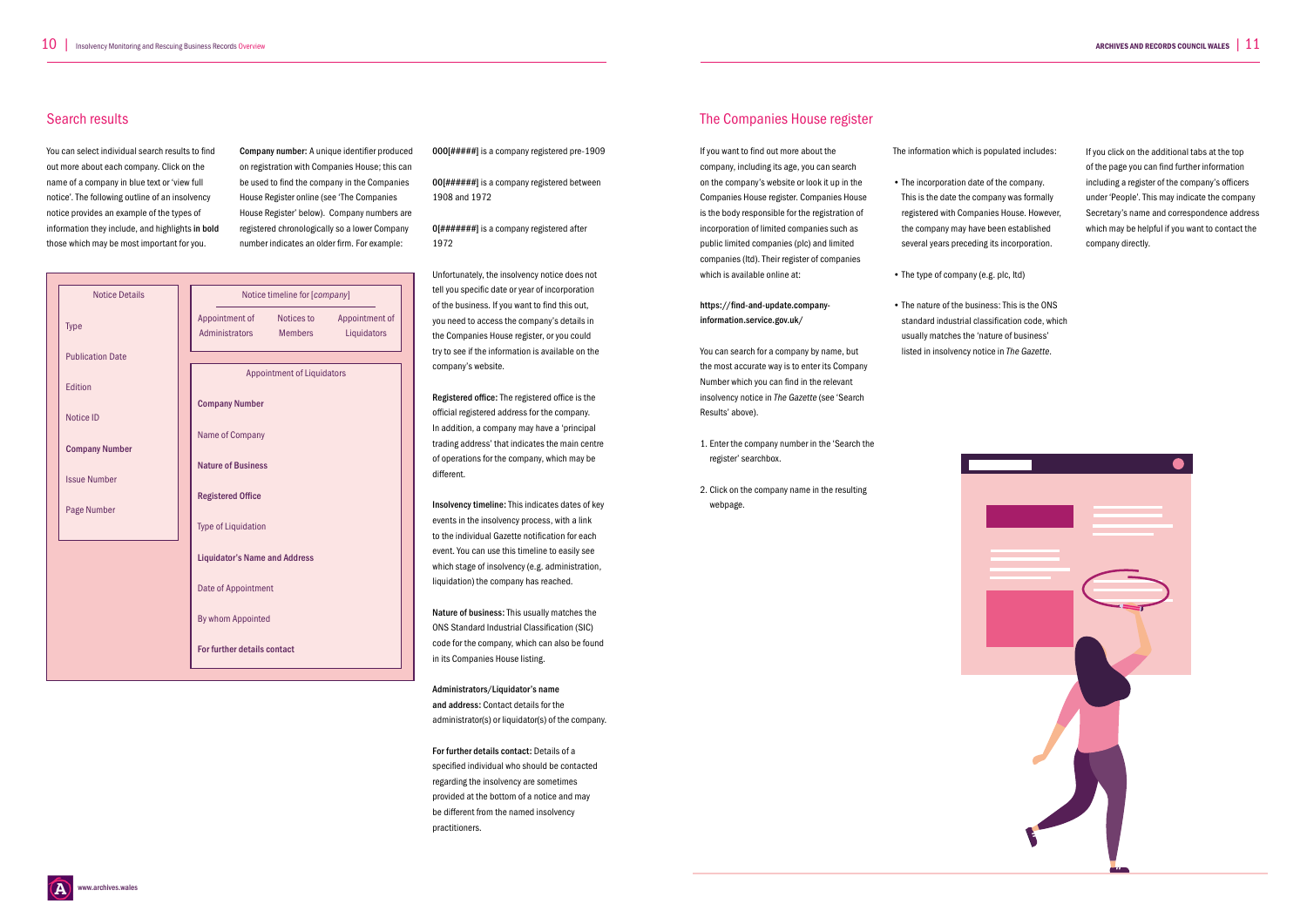### Search results

You can select individual search results to find out more about each company. Click on the name of a company in blue text or 'view full notice'. The following outline of an insolvency notice provides an example of the types of information they include, and highlights in bold those which may be most important for you.

Company number: A unique identifier produced on registration with Companies House; this can be used to find the company in the Companies House Register online (see 'The Companies House Register' below). Company numbers are registered chronologically so a lower Company number indicates an older firm. For example:

000[#####] is a company registered pre-1909

00[######] is a company registered between 1908 and 1972

0[#######] is a company registered after 1972

Unfortunately, the insolvency notice does not tell you specific date or year of incorporation of the business. If you want to find this out, you need to access the company's details in the Companies House register, or you could try to see if the information is available on the company's website.

Registered office: The registered office is the official registered address for the company. In addition, a company may have a 'principal trading address' that indicates the main centre of operations for the company, which may be different.

Insolvency timeline: This indicates dates of key events in the insolvency process, with a link to the individual Gazette notification for each event. You can use this timeline to easily see which stage of insolvency (e.g. administration, liquidation) the company has reached.

Nature of business: This usually matches the ONS Standard Industrial Classification (SIC) code for the company, which can also be found in its Companies House listing.

Administrators/Liquidator's name and address: Contact details for the administrator(s) or liquidator(s) of the company.

For further details contact: Details of a specified individual who should be contacted regarding the insolvency are sometimes provided at the bottom of a notice and may be different from the named insolvency practitioners.

### The Companies House register

If you want to find out more about the company, including its age, you can search on the company's website or look it up in the Companies House register. Companies House is the body responsible for the registration of incorporation of limited companies such as public limited companies (plc) and limited companies (ltd). Their register of companies which is available online at:

https://find-and-update.companyinformation.service.gov.uk/

You can search for a company by name, but the most accurate way is to enter its Company Number which you can find in the relevant insolvency notice in *The Gazette* (see 'Search Results' above).

- 1. Enter the company number in the 'Search the register' searchbox.
- 2. Click on the company name in the resulting webpage.

The information which is populated includes:

- The incorporation date of the company. This is the date the company was formally registered with Companies House. However, the company may have been established several years preceding its incorporation.
- The type of company (e.g. plc, ltd)
- The nature of the business: This is the ONS standard industrial classification code, which usually matches the 'nature of business' listed in insolvency notice in *The Gazette*.



If you click on the additional tabs at the top of the page you can find further information including a register of the company's officers under 'People'. This may indicate the company Secretary's name and correspondence address which may be helpful if you want to contact the company directly.



|  | <b>Notice Details</b>   |  |                                      |                |                |  |
|--|-------------------------|--|--------------------------------------|----------------|----------------|--|
|  |                         |  | Notice timeline for [company]        |                |                |  |
|  |                         |  | Appointment of                       | Notices to     | Appointment of |  |
|  | <b>Type</b>             |  | Administrators                       | <b>Members</b> | Liquidators    |  |
|  | <b>Publication Date</b> |  |                                      |                |                |  |
|  |                         |  | <b>Appointment of Liquidators</b>    |                |                |  |
|  | Edition                 |  |                                      |                |                |  |
|  |                         |  | <b>Company Number</b>                |                |                |  |
|  | <b>Notice ID</b>        |  |                                      |                |                |  |
|  |                         |  | Name of Company                      |                |                |  |
|  | <b>Company Number</b>   |  | <b>Nature of Business</b>            |                |                |  |
|  |                         |  |                                      |                |                |  |
|  | <b>Issue Number</b>     |  |                                      |                |                |  |
|  |                         |  | <b>Registered Office</b>             |                |                |  |
|  | Page Number             |  | <b>Type of Liquidation</b>           |                |                |  |
|  |                         |  |                                      |                |                |  |
|  |                         |  | <b>Liquidator's Name and Address</b> |                |                |  |
|  |                         |  |                                      |                |                |  |
|  |                         |  | Date of Appointment                  |                |                |  |
|  |                         |  |                                      |                |                |  |
|  |                         |  | By whom Appointed                    |                |                |  |
|  |                         |  |                                      |                |                |  |
|  |                         |  | For further details contact          |                |                |  |
|  |                         |  |                                      |                |                |  |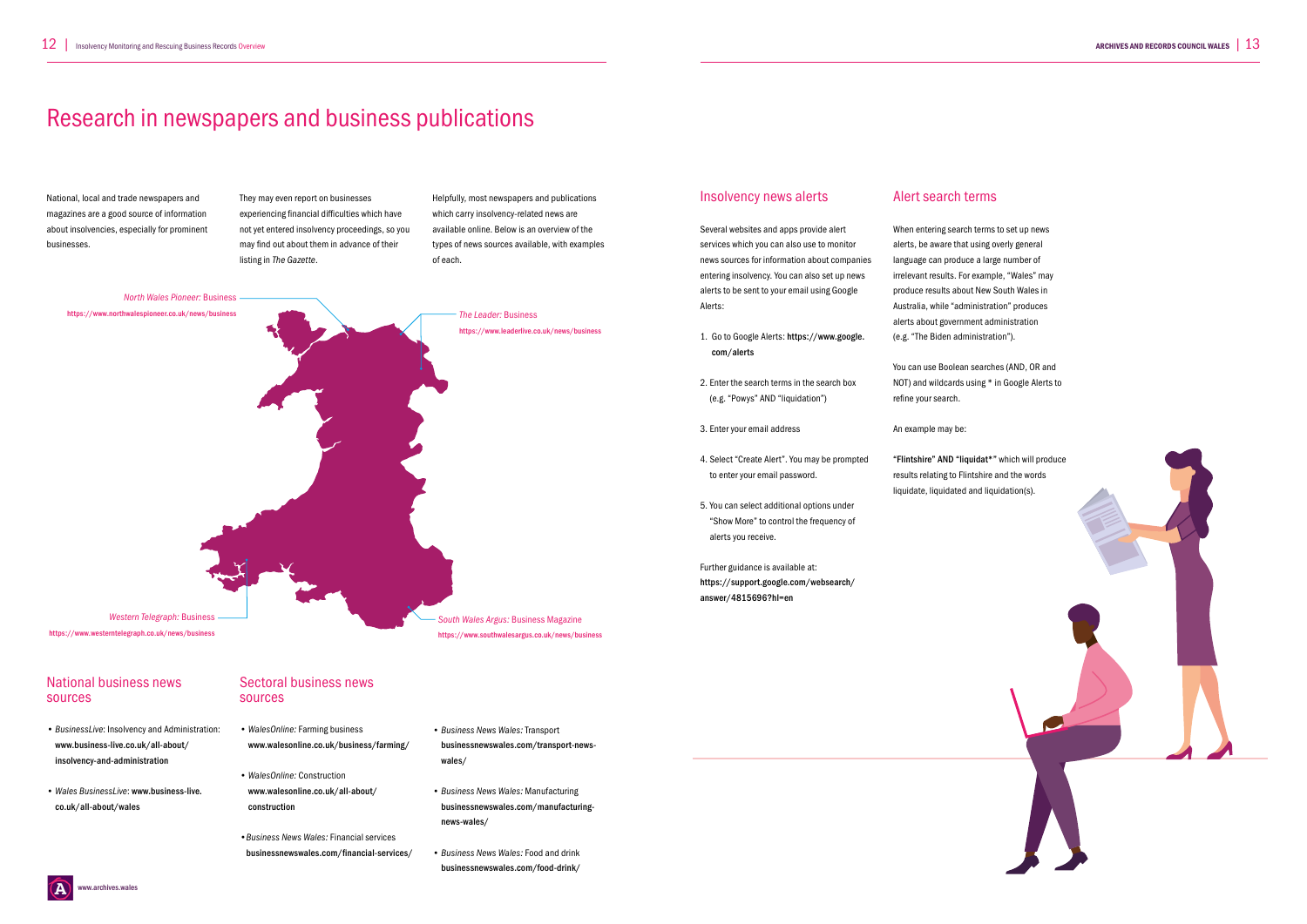www.archives.wales



National business news sources

#### *• BusinessLive*: Insolvency and Administration: www.business-live.co.uk/all-about/ insolvency-and-administration

• *Wales BusinessLive*: www.business-live. co.uk/all-about/wales

### Sectoral business news sources

- *WalesOnline:* Farming business www.walesonline.co.uk/business/farming/
- *WalesOnline:* Construction www.walesonline.co.uk/all-about/ construction
- *•Business News Wales:* Financial services businessnewswales.com/financial-services/
- *Business News Wales:* Transport businessnewswales.com/transport-newswales/
- *Business News Wales:* Manufacturing businessnewswales.com/manufacturingnews-wales/
- *Business News Wales:* Food and drink businessnewswales.com/food-drink/

### Insolvency news alerts

Several websites and apps provide alert services which you can also use to monitor news sources for information about companies entering insolvency. You can also set up news alerts to be sent to your email using Google Alerts:



- 1. Go to Google Alerts: https://www.google. com/alerts
- 2. Enter the search terms in the search box (e.g. "Powys" AND "liquidation")
- 3. Enter your email address
- 4. Select "Create Alert". You may be prompted to enter your email password.
- 5. You can select additional options under "Show More" to control the frequency of alerts you receive.

Further guidance is available at: https://support.google.com/websearch/ answer/4815696?hl=en

### Alert search terms

When entering search terms to set up news alerts, be aware that using overly general language can produce a large number of irrelevant results. For example, "Wales" may produce results about New South Wales in Australia, while "administration" produces alerts about government administration (e.g. "The Biden administration").

You can use Boolean searches (AND, OR and NOT) and wildcards using \* in Google Alerts to refine your search.

An example may be:

"Flintshire" AND "liquidat\*" which will produce results relating to Flintshire and the words liquidate, liquidated and liquidation(s).

# Research in newspapers and business publications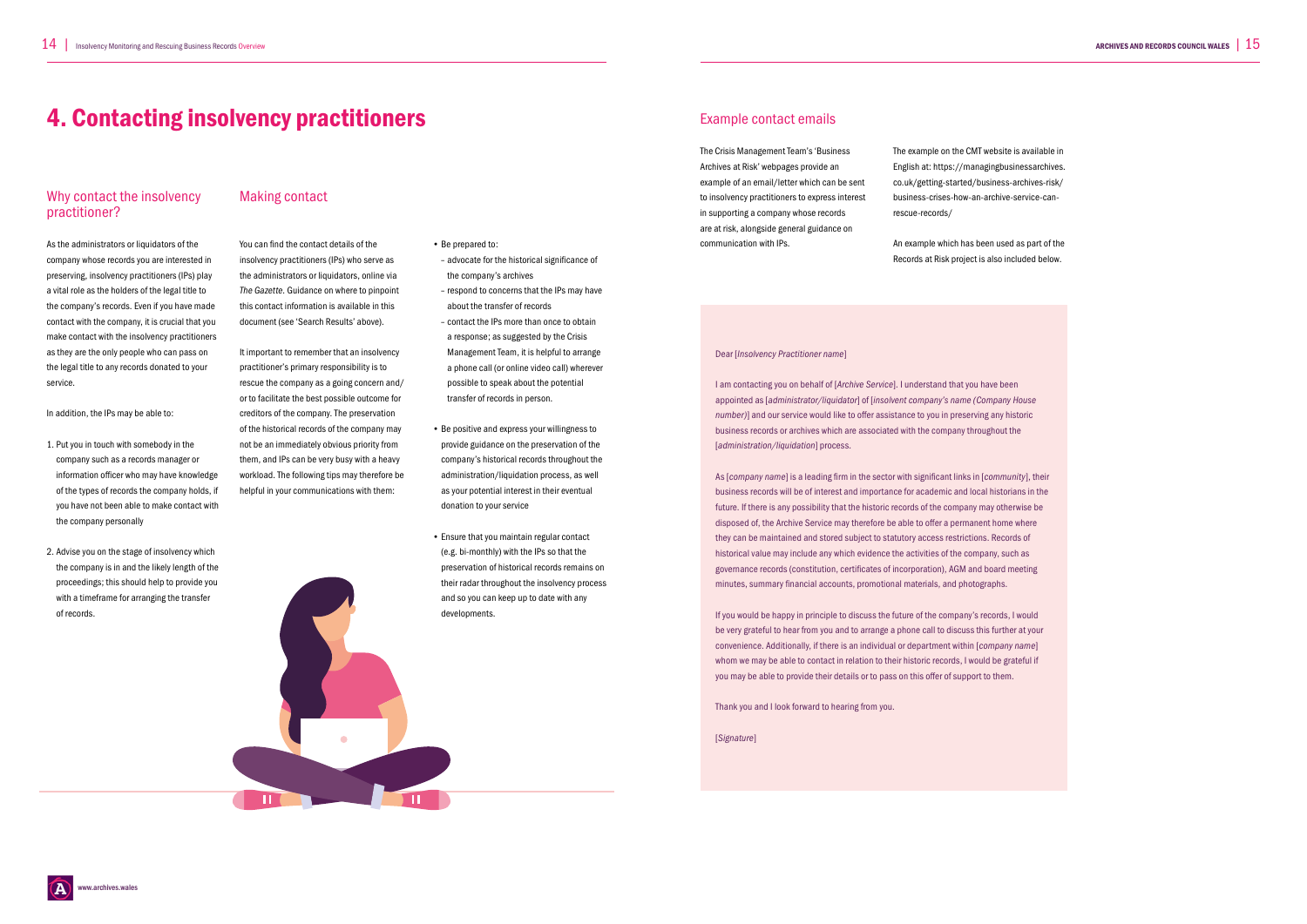### Why contact the insolvency practitioner?

As the administrators or liquidators of the company whose records you are interested in preserving, insolvency practitioners (IPs) play a vital role as the holders of the legal title to the company's records. Even if you have made contact with the company, it is crucial that you make contact with the insolvency practitioners as they are the only people who can pass on the legal title to any records donated to your service.

In addition, the IPs may be able to:

- 1. Put you in touch with somebody in the company such as a records manager or information officer who may have knowledge of the types of records the company holds, if you have not been able to make contact with the company personally
- 2. Advise you on the stage of insolvency which the company is in and the likely length of the proceedings; this should help to provide you with a timeframe for arranging the transfer of records.

### Making contact

You can find the contact details of the insolvency practitioners (IPs) who serve as the administrators or liquidators, online via *The Gazette*. Guidance on where to pinpoint this contact information is available in this document (see 'Search Results' above).

It important to remember that an insolvency practitioner's primary responsibility is to rescue the company as a going concern and/ or to facilitate the best possible outcome for creditors of the company. The preservation of the historical records of the company may not be an immediately obvious priority from them, and IPs can be very busy with a heavy workload. The following tips may therefore be helpful in your communications with them:

• Be prepared to:

- advocate for the historical significance of
- the company's archives – respond to concerns that the IPs may have about the transfer of records
- contact the IPs more than once to obtain a response; as suggested by the Crisis Management Team, it is helpful to arrange a phone call (or online video call) wherever possible to speak about the potential transfer of records in person.
- Be positive and express your willingness to provide guidance on the preservation of the company's historical records throughout the administration/liquidation process, as well as your potential interest in their eventual donation to your service
- Ensure that you maintain regular contact (e.g. bi-monthly) with the IPs so that the preservation of historical records remains on their radar throughout the insolvency process and so you can keep up to date with any developments.

### Example contact emails

The Crisis Management Team's 'Business Archives at Risk' webpages provide an example of an email/letter which can be sent to insolvency practitioners to express interest in supporting a company whose records are at risk, alongside general guidance on communication with IPs.

The example on the CMT website is available in English at: https://managingbusinessarchives. co.uk/getting-started/business-archives-risk/ business-crises-how-an-archive-service-canrescue-records/

An example which has been used as part of the Records at Risk project is also included below.

### 4. Contacting insolvency practitioners

#### Dear [*Insolvency Practitioner name*]

I am contacting you on behalf of [*Archive Service*]. I understand that you have been appointed as [*administrator/liquidator*] of [*insolvent company's name (Company House number)*] and our service would like to offer assistance to you in preserving any historic business records or archives which are associated with the company throughout the [*administration/liquidation*] process.

As [*company name*] is a leading firm in the sector with significant links in [*community*], their business records will be of interest and importance for academic and local historians in the future. If there is any possibility that the historic records of the company may otherwise be disposed of, the Archive Service may therefore be able to offer a permanent home where they can be maintained and stored subject to statutory access restrictions. Records of historical value may include any which evidence the activities of the company, such as governance records (constitution, certificates of incorporation), AGM and board meeting minutes, summary financial accounts, promotional materials, and photographs.

If you would be happy in principle to discuss the future of the company's records, I would be very grateful to hear from you and to arrange a phone call to discuss this further at your convenience. Additionally, if there is an individual or department within [*company name*] whom we may be able to contact in relation to their historic records, I would be grateful if you may be able to provide their details or to pass on this offer of support to them.

Thank you and I look forward to hearing from you.

[*Signature*]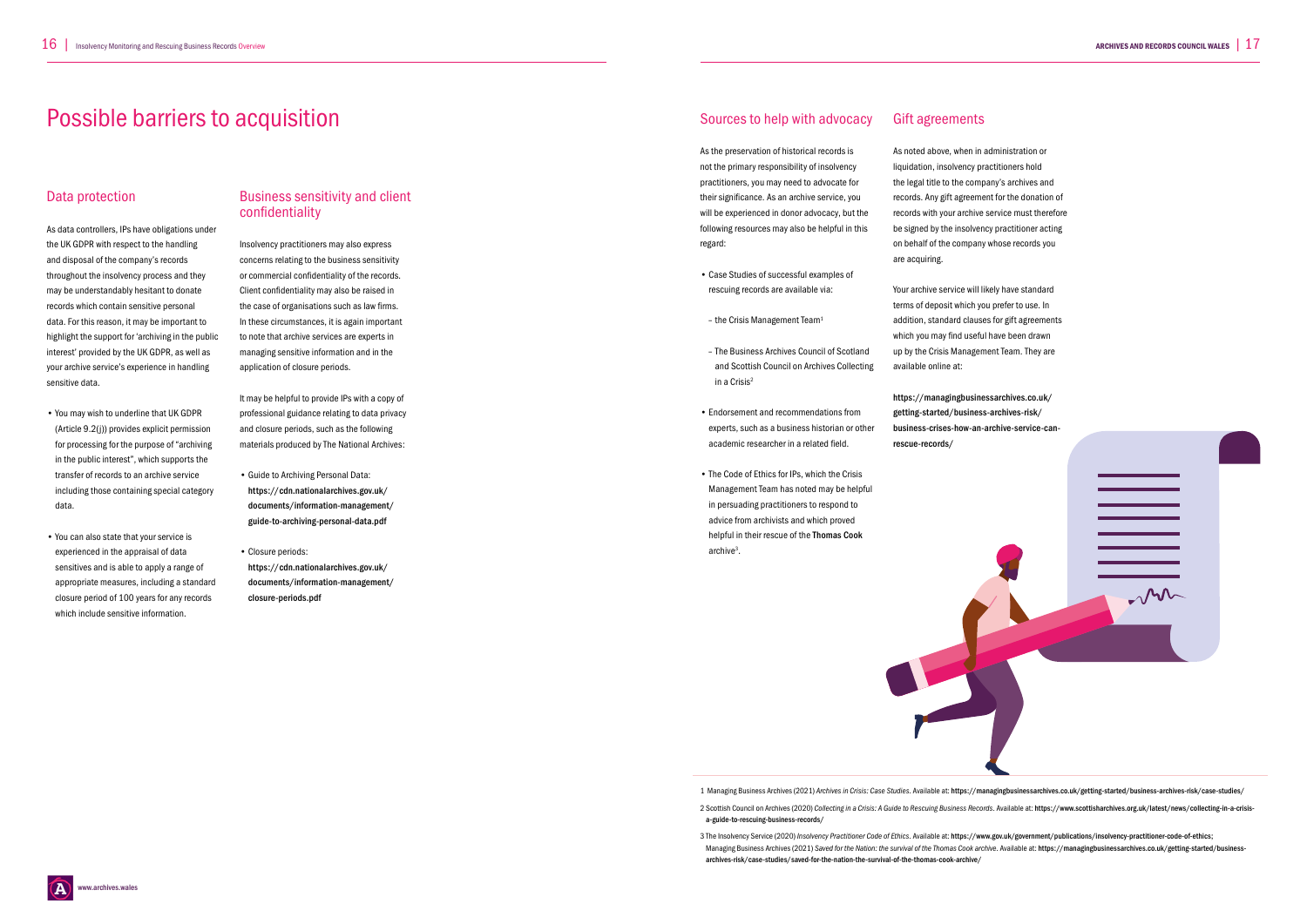### Data protection

As data controllers, IPs have obligations under the UK GDPR with respect to the handling and disposal of the company's records throughout the insolvency process and they may be understandably hesitant to donate records which contain sensitive personal data. For this reason, it may be important to highlight the support for 'archiving in the public interest' provided by the UK GDPR, as well as your archive service's experience in handling sensitive data.

- You may wish to underline that UK GDPR (Article 9.2(j)) provides explicit permission for processing for the purpose of "archiving in the public interest", which supports the transfer of records to an archive service including those containing special category data.
- You can also state that your service is experienced in the appraisal of data sensitives and is able to apply a range of appropriate measures, including a standard closure period of 100 years for any records which include sensitive information.

### Business sensitivity and client confidentiality

- Case Studies of successful examples of rescuing records are available via:
- $-$  the Crisis Management Team<sup>1</sup>
- The Business Archives Council of Scotland and Scottish Council on Archives Collecting in a Crisis2
- Endorsement and recommendations from experts, such as a business historian or other academic researcher in a related field.
- The Code of Ethics for IPs, which the Crisis Management Team has noted may be helpful in persuading practitioners to respond to advice from archivists and which proved helpful in their rescue of the Thomas Cook archive<sup>3</sup>.

Insolvency practitioners may also express concerns relating to the business sensitivity or commercial confidentiality of the records. Client confidentiality may also be raised in the case of organisations such as law firms. In these circumstances, it is again important to note that archive services are experts in managing sensitive information and in the application of closure periods.

It may be helpful to provide IPs with a copy of professional guidance relating to data privacy and closure periods, such as the following materials produced by The National Archives:

- Guide to Archiving Personal Data: https://cdn.nationalarchives.gov.uk/ documents/information-management/ guide-to-archiving-personal-data.pdf
- Closure periods: https://cdn.nationalarchives.gov.uk/ documents/information-management/ closure-periods.pdf

### Sources to help with advocacy

As the preservation of historical records is not the primary responsibility of insolvency practitioners, you may need to advocate for their significance. As an archive service, you will be experienced in donor advocacy, but the following resources may also be helpful in this regard:

Gift agreements

As noted above, when in administration or liquidation, insolvency practitioners hold the legal title to the company's archives and records. Any gift agreement for the donation of records with your archive service must therefore be signed by the insolvency practitioner acting on behalf of the company whose records you are acquiring.

Your archive service will likely have standard terms of deposit which you prefer to use. In addition, standard clauses for gift agreements which you may find useful have been drawn up by the Crisis Management Team. They are available online at:

https://managingbusinessarchives.co.uk/ getting-started/business-archives-risk/ business-crises-how-an-archive-service-can-



### Possible barriers to acquisition

1 Managing Business Archives (2021) *Archives in Crisis: Case Studies*. Available at: https://managingbusinessarchives.co.uk/getting-started/business-archives-risk/case-studies/

2 Scottish Council on Archives (2020) *Collecting in a Crisis: A Guide to Rescuing Business Records*. Available at: https://www.scottisharchives.org.uk/latest/news/collecting-in-a-crisisa-guide-to-rescuing-business-records/

3 The Insolvency Service (2020) *Insolvency Practitioner Code of Ethics*. Available at: https://www.gov.uk/government/publications/insolvency-practitioner-code-of-ethics; Managing Business Archives (2021) *Saved for the Nation: the survival of the Thomas Cook archive*. Available at: https://managingbusinessarchives.co.uk/getting-started/businessarchives-risk/case-studies/saved-for-the-nation-the-survival-of-the-thomas-cook-archive/